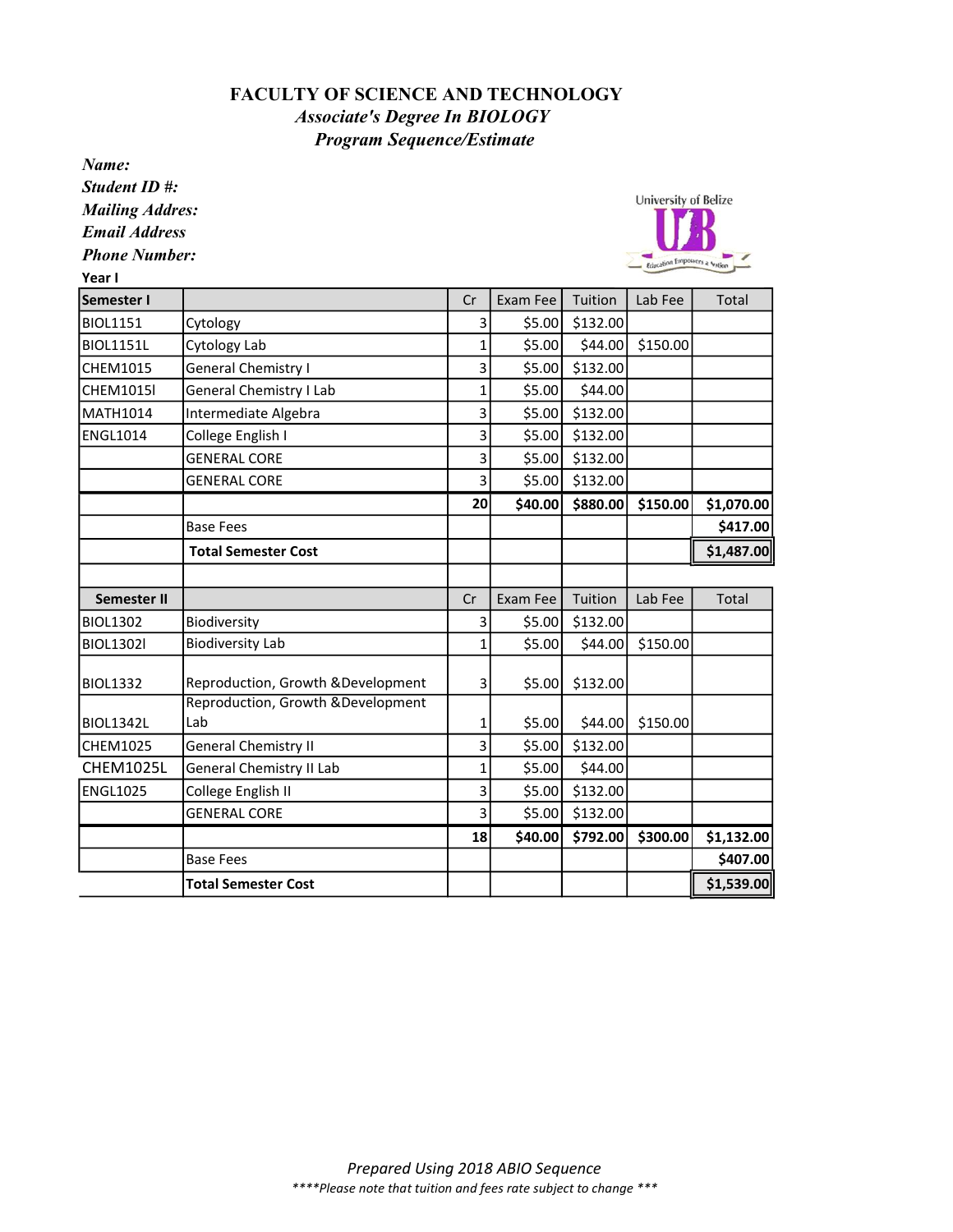## FACULTY OF SCIENCE AND TECHNOLOGY Program Sequence/Estimate Associate's Degree In BIOLOGY

Name:

Student ID #: Mailing Addres:

Email Address

Phone Number:

Year I



| Semester I         |                                           | Cr             | Exam Fee | Tuition  | Lab Fee  | Total      |
|--------------------|-------------------------------------------|----------------|----------|----------|----------|------------|
| <b>BIOL1151</b>    | Cytology                                  | 3              | \$5.00   | \$132.00 |          |            |
| <b>BIOL1151L</b>   | Cytology Lab                              | $\mathbf{1}$   | \$5.00   | \$44.00  | \$150.00 |            |
| <b>CHEM1015</b>    | General Chemistry I                       | 3              | \$5.00   | \$132.00 |          |            |
| <b>CHEM1015I</b>   | General Chemistry I Lab                   | $\overline{1}$ | \$5.00   | \$44.00  |          |            |
| MATH1014           | Intermediate Algebra                      | 3              | \$5.00   | \$132.00 |          |            |
| <b>ENGL1014</b>    | College English I                         | 3              | \$5.00   | \$132.00 |          |            |
|                    | <b>GENERAL CORE</b>                       | 3              | \$5.00   | \$132.00 |          |            |
|                    | <b>GENERAL CORE</b>                       | 3              | \$5.00   | \$132.00 |          |            |
|                    |                                           | 20             | \$40.00  | \$880.00 | \$150.00 | \$1,070.00 |
|                    | <b>Base Fees</b>                          |                |          |          |          | \$417.00   |
|                    | <b>Total Semester Cost</b>                |                |          |          |          | \$1,487.00 |
|                    |                                           |                |          |          |          |            |
| <b>Semester II</b> |                                           | Cr             | Exam Fee | Tuition  | Lab Fee  | Total      |
| <b>BIOL1302</b>    | Biodiversity                              | 3              | \$5.00   | \$132.00 |          |            |
| <b>BIOL1302l</b>   | <b>Biodiversity Lab</b>                   | 1              | \$5.00   | \$44.00  | \$150.00 |            |
| <b>BIOL1332</b>    | Reproduction, Growth & Development        | 3              | \$5.00   | \$132.00 |          |            |
| <b>BIOL1342L</b>   | Reproduction, Growth & Development<br>Lab | 1              | \$5.00   | \$44.00  | \$150.00 |            |
| CHEM1025           | <b>General Chemistry II</b>               | 3              | \$5.00   | \$132.00 |          |            |
| <b>CHEM1025L</b>   | General Chemistry II Lab                  | 1              | \$5.00   | \$44.00  |          |            |
| <b>ENGL1025</b>    | College English II                        | 3              | \$5.00   | \$132.00 |          |            |
|                    | <b>GENERAL CORE</b>                       | 3              | \$5.00   | \$132.00 |          |            |
|                    |                                           | 18             | \$40.00  | \$792.00 | \$300.00 | \$1,132.00 |
|                    | <b>Base Fees</b>                          |                |          |          |          | \$407.00   |
|                    | <b>Total Semester Cost</b>                |                |          |          |          | \$1,539.00 |